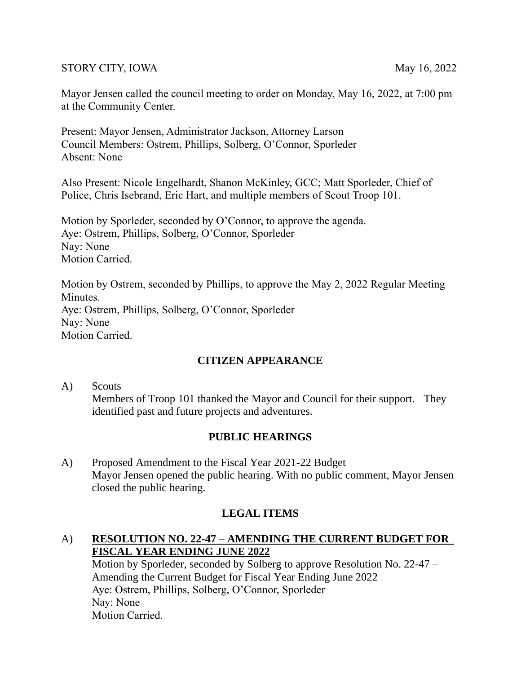#### STORY CITY, IOWA May 16, 2022

Mayor Jensen called the council meeting to order on Monday, May 16, 2022, at 7:00 pm at the Community Center.

Present: Mayor Jensen, Administrator Jackson, Attorney Larson Council Members: Ostrem, Phillips, Solberg, O'Connor, Sporleder Absent: None

Also Present: Nicole Engelhardt, Shanon McKinley, GCC; Matt Sporleder, Chief of Police, Chris Isebrand, Eric Hart, and multiple members of Scout Troop 101.

Motion by Sporleder, seconded by O'Connor, to approve the agenda. Aye: Ostrem, Phillips, Solberg, O'Connor, Sporleder Nay: None Motion Carried.

Motion by Ostrem, seconded by Phillips, to approve the May 2, 2022 Regular Meeting Minutes. Aye: Ostrem, Phillips, Solberg, O'Connor, Sporleder Nay: None Motion Carried.

## **CITIZEN APPEARANCE**

A) Scouts Members of Troop 101 thanked the Mayor and Council for their support. They identified past and future projects and adventures.

## **PUBLIC HEARINGS**

A) Proposed Amendment to the Fiscal Year 2021-22 Budget Mayor Jensen opened the public hearing. With no public comment, Mayor Jensen closed the public hearing.

## **LEGAL ITEMS**

## A) **RESOLUTION NO. 22-47 – AMENDING THE CURRENT BUDGET FOR FISCAL YEAR ENDING JUNE 2022**

Motion by Sporleder, seconded by Solberg to approve Resolution No. 22-47 – Amending the Current Budget for Fiscal Year Ending June 2022 Aye: Ostrem, Phillips, Solberg, O'Connor, Sporleder Nay: None Motion Carried.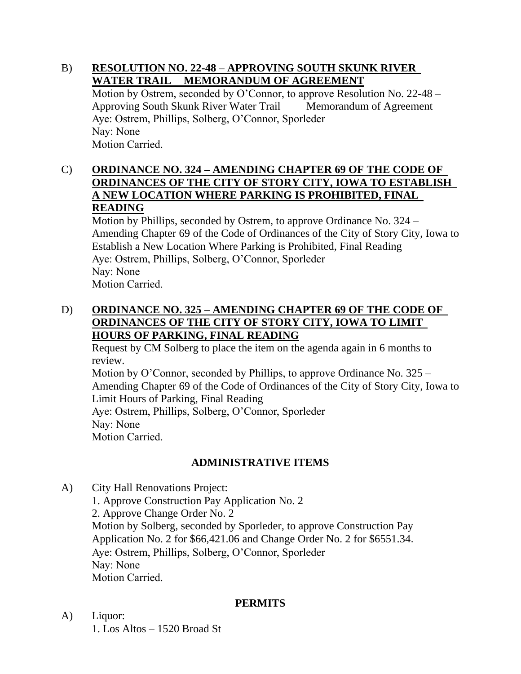#### B) **RESOLUTION NO. 22-48 – APPROVING SOUTH SKUNK RIVER WATER TRAIL MEMORANDUM OF AGREEMENT**

Motion by Ostrem, seconded by O'Connor, to approve Resolution No. 22-48 – Approving South Skunk River Water Trail Memorandum of Agreement Aye: Ostrem, Phillips, Solberg, O'Connor, Sporleder Nay: None Motion Carried.

### C) **ORDINANCE NO. 324 – AMENDING CHAPTER 69 OF THE CODE OF ORDINANCES OF THE CITY OF STORY CITY, IOWA TO ESTABLISH A NEW LOCATION WHERE PARKING IS PROHIBITED, FINAL READING**

Motion by Phillips, seconded by Ostrem, to approve Ordinance No. 324 – Amending Chapter 69 of the Code of Ordinances of the City of Story City, Iowa to Establish a New Location Where Parking is Prohibited, Final Reading Aye: Ostrem, Phillips, Solberg, O'Connor, Sporleder Nay: None Motion Carried.

### D) **ORDINANCE NO. 325 – AMENDING CHAPTER 69 OF THE CODE OF ORDINANCES OF THE CITY OF STORY CITY, IOWA TO LIMIT HOURS OF PARKING, FINAL READING**

Request by CM Solberg to place the item on the agenda again in 6 months to review. Motion by O'Connor, seconded by Phillips, to approve Ordinance No. 325 – Amending Chapter 69 of the Code of Ordinances of the City of Story City, Iowa to Limit Hours of Parking, Final Reading Aye: Ostrem, Phillips, Solberg, O'Connor, Sporleder Nay: None

Motion Carried.

# **ADMINISTRATIVE ITEMS**

A) City Hall Renovations Project:

1. Approve Construction Pay Application No. 2 2. Approve Change Order No. 2 Motion by Solberg, seconded by Sporleder, to approve Construction Pay Application No. 2 for \$66,421.06 and Change Order No. 2 for \$6551.34. Aye: Ostrem, Phillips, Solberg, O'Connor, Sporleder Nay: None Motion Carried.

#### **PERMITS**

A) Liquor: 1. Los Altos – 1520 Broad St